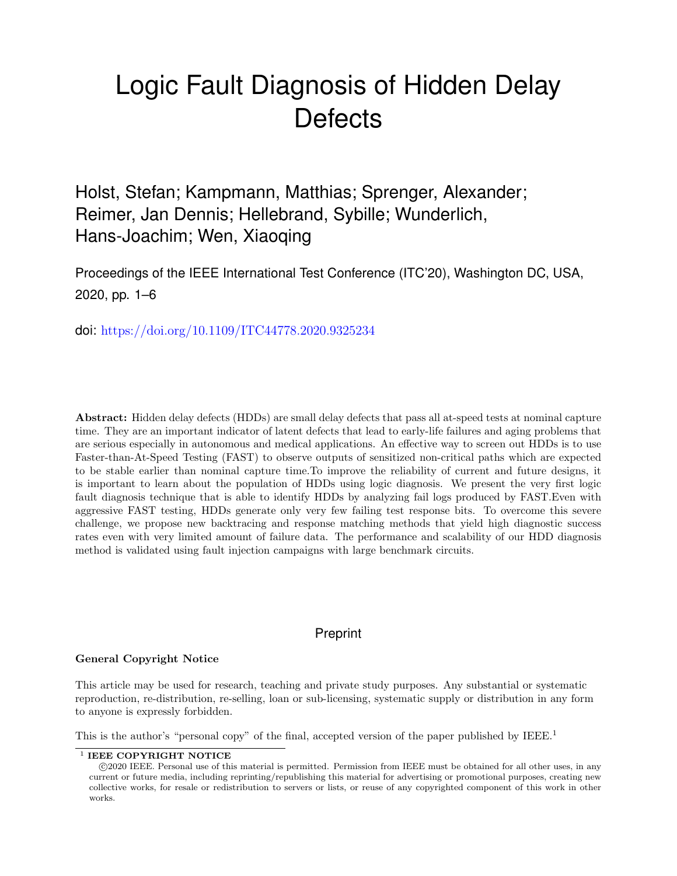# Logic Fault Diagnosis of Hidden Delay **Defects**

Holst, Stefan; Kampmann, Matthias; Sprenger, Alexander; Reimer, Jan Dennis; Hellebrand, Sybille; Wunderlich, Hans-Joachim; Wen, Xiaoqing

Proceedings of the IEEE International Test Conference (ITC'20), Washington DC, USA, 2020, pp. 1–6

doi: <https://doi.org/10.1109/ITC44778.2020.9325234>

Abstract: Hidden delay defects (HDDs) are small delay defects that pass all at-speed tests at nominal capture time. They are an important indicator of latent defects that lead to early-life failures and aging problems that are serious especially in autonomous and medical applications. An effective way to screen out HDDs is to use Faster-than-At-Speed Testing (FAST) to observe outputs of sensitized non-critical paths which are expected to be stable earlier than nominal capture time.To improve the reliability of current and future designs, it is important to learn about the population of HDDs using logic diagnosis. We present the very first logic fault diagnosis technique that is able to identify HDDs by analyzing fail logs produced by FAST.Even with aggressive FAST testing, HDDs generate only very few failing test response bits. To overcome this severe challenge, we propose new backtracing and response matching methods that yield high diagnostic success rates even with very limited amount of failure data. The performance and scalability of our HDD diagnosis method is validated using fault injection campaigns with large benchmark circuits.

# Preprint

# General Copyright Notice

This article may be used for research, teaching and private study purposes. Any substantial or systematic reproduction, re-distribution, re-selling, loan or sub-licensing, systematic supply or distribution in any form to anyone is expressly forbidden.

This is the author's "personal copy" of the final, accepted version of the paper published by IEEE.<sup>[1](#page-0-0)</sup>

<span id="page-0-0"></span><sup>&</sup>lt;sup>1</sup> IEEE COPYRIGHT NOTICE

c 2020 IEEE. Personal use of this material is permitted. Permission from IEEE must be obtained for all other uses, in any current or future media, including reprinting/republishing this material for advertising or promotional purposes, creating new collective works, for resale or redistribution to servers or lists, or reuse of any copyrighted component of this work in other works.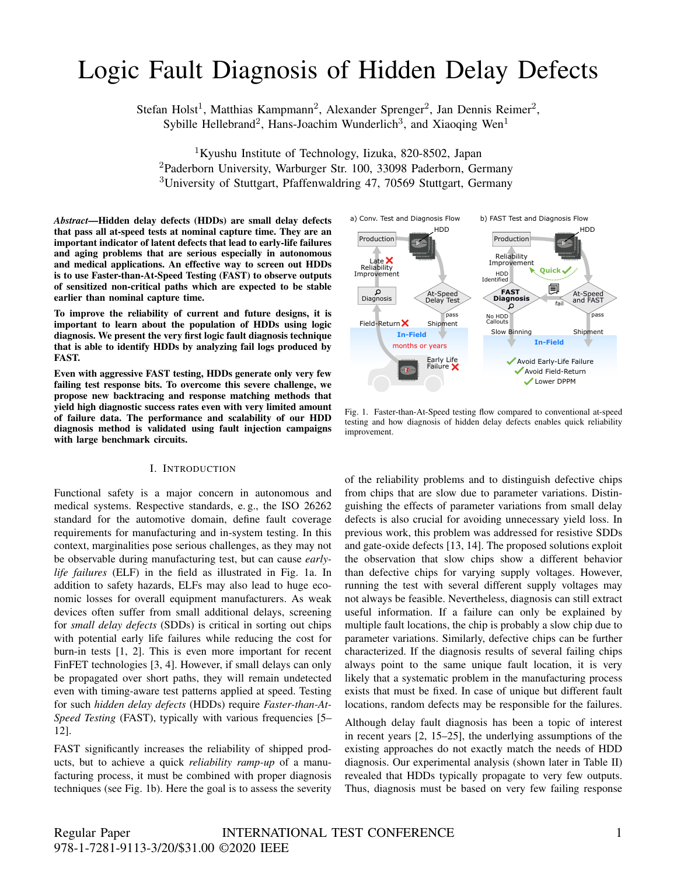# Logic Fault Diagnosis of Hidden Delay Defects

Stefan Holst<sup>1</sup>, Matthias Kampmann<sup>2</sup>, Alexander Sprenger<sup>2</sup>, Jan Dennis Reimer<sup>2</sup>, Sybille Hellebrand<sup>2</sup>, Hans-Joachim Wunderlich<sup>3</sup>, and Xiaoqing Wen<sup>1</sup>

<sup>1</sup>Kyushu Institute of Technology, Iizuka, 820-8502, Japan <sup>2</sup>Paderborn University, Warburger Str. 100, 33098 Paderborn, Germany <sup>3</sup>University of Stuttgart, Pfaffenwaldring 47, 70569 Stuttgart, Germany

*Abstract*—Hidden delay defects (HDDs) are small delay defects that pass all at-speed tests at nominal capture time. They are an important indicator of latent defects that lead to early-life failures and aging problems that are serious especially in autonomous and medical applications. An effective way to screen out HDDs is to use Faster-than-At-Speed Testing (FAST) to observe outputs of sensitized non-critical paths which are expected to be stable earlier than nominal capture time.

To improve the reliability of current and future designs, it is important to learn about the population of HDDs using logic diagnosis. We present the very first logic fault diagnosis technique that is able to identify HDDs by analyzing fail logs produced by FAST.

Even with aggressive FAST testing, HDDs generate only very few failing test response bits. To overcome this severe challenge, we propose new backtracing and response matching methods that yield high diagnostic success rates even with very limited amount of failure data. The performance and scalability of our HDD diagnosis method is validated using fault injection campaigns with large benchmark circuits.

#### I. INTRODUCTION

Functional safety is a major concern in autonomous and medical systems. Respective standards, e. g., the ISO 26262 standard for the automotive domain, define fault coverage requirements for manufacturing and in-system testing. In this context, marginalities pose serious challenges, as they may not be observable during manufacturing test, but can cause *earlylife failures* (ELF) in the field as illustrated in Fig. 1a. In addition to safety hazards, ELFs may also lead to huge economic losses for overall equipment manufacturers. As weak devices often suffer from small additional delays, screening for *small delay defects* (SDDs) is critical in sorting out chips with potential early life failures while reducing the cost for burn-in tests [1, 2]. This is even more important for recent FinFET technologies [3, 4]. However, if small delays can only be propagated over short paths, they will remain undetected even with timing-aware test patterns applied at speed. Testing for such *hidden delay defects* (HDDs) require *Faster-than-At-Speed Testing* (FAST), typically with various frequencies [5– 12].

FAST significantly increases the reliability of shipped products, but to achieve a quick *reliability ramp-up* of a manufacturing process, it must be combined with proper diagnosis techniques (see Fig. 1b). Here the goal is to assess the severity



Fig. 1. Faster-than-At-Speed testing flow compared to conventional at-speed testing and how diagnosis of hidden delay defects enables quick reliability improvement.

of the reliability problems and to distinguish defective chips from chips that are slow due to parameter variations. Distinguishing the effects of parameter variations from small delay defects is also crucial for avoiding unnecessary yield loss. In previous work, this problem was addressed for resistive SDDs and gate-oxide defects [13, 14]. The proposed solutions exploit the observation that slow chips show a different behavior than defective chips for varying supply voltages. However, running the test with several different supply voltages may not always be feasible. Nevertheless, diagnosis can still extract useful information. If a failure can only be explained by multiple fault locations, the chip is probably a slow chip due to parameter variations. Similarly, defective chips can be further characterized. If the diagnosis results of several failing chips always point to the same unique fault location, it is very likely that a systematic problem in the manufacturing process exists that must be fixed. In case of unique but different fault locations, random defects may be responsible for the failures.

Although delay fault diagnosis has been a topic of interest in recent years [2, 15–25], the underlying assumptions of the existing approaches do not exactly match the needs of HDD diagnosis. Our experimental analysis (shown later in Table II) revealed that HDDs typically propagate to very few outputs. Thus, diagnosis must be based on very few failing response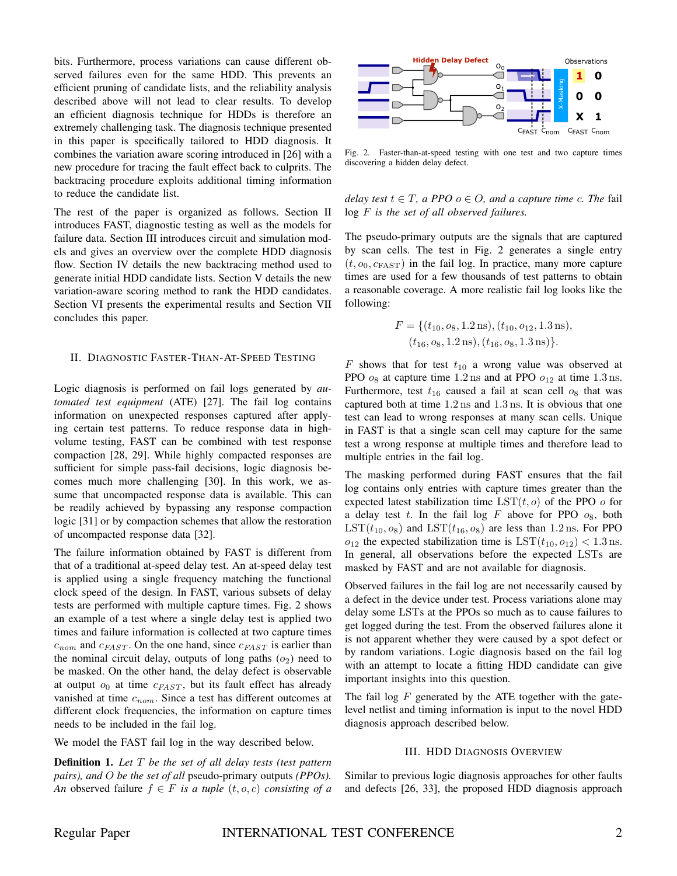bits. Furthermore, process variations can cause different observed failures even for the same HDD. This prevents an efficient pruning of candidate lists, and the reliability analysis described above will not lead to clear results. To develop an efficient diagnosis technique for HDDs is therefore an extremely challenging task. The diagnosis technique presented in this paper is specifically tailored to HDD diagnosis. It combines the variation aware scoring introduced in [26] with a new procedure for tracing the fault effect back to culprits. The backtracing procedure exploits additional timing information to reduce the candidate list.

The rest of the paper is organized as follows. Section II introduces FAST, diagnostic testing as well as the models for failure data. Section III introduces circuit and simulation models and gives an overview over the complete HDD diagnosis flow. Section IV details the new backtracing method used to generate initial HDD candidate lists. Section V details the new variation-aware scoring method to rank the HDD candidates. Section VI presents the experimental results and Section VII concludes this paper.

#### II. DIAGNOSTIC FASTER-THAN-AT-SPEED TESTING

Logic diagnosis is performed on fail logs generated by *automated test equipment* (ATE) [27]. The fail log contains information on unexpected responses captured after applying certain test patterns. To reduce response data in highvolume testing, FAST can be combined with test response compaction [28, 29]. While highly compacted responses are sufficient for simple pass-fail decisions, logic diagnosis becomes much more challenging [30]. In this work, we assume that uncompacted response data is available. This can be readily achieved by bypassing any response compaction logic [31] or by compaction schemes that allow the restoration of uncompacted response data [32].

The failure information obtained by FAST is different from that of a traditional at-speed delay test. An at-speed delay test is applied using a single frequency matching the functional clock speed of the design. In FAST, various subsets of delay tests are performed with multiple capture times. Fig. 2 shows an example of a test where a single delay test is applied two times and failure information is collected at two capture times  $c_{nom}$  and  $c_{FAST}$ . On the one hand, since  $c_{FAST}$  is earlier than the nominal circuit delay, outputs of long paths  $(o_2)$  need to be masked. On the other hand, the delay defect is observable at output  $o_0$  at time  $c_{FAST}$ , but its fault effect has already vanished at time  $c_{nom}$ . Since a test has different outcomes at different clock frequencies, the information on capture times needs to be included in the fail log.

We model the FAST fail log in the way described below.

Definition 1. *Let* T *be the set of all delay tests (test pattern pairs), and* O *be the set of all* pseudo-primary outputs *(PPOs). An* observed failure  $f \in F$  *is a tuple*  $(t, o, c)$  *consisting of a* 



Fig. 2. Faster-than-at-speed testing with one test and two capture times discovering a hidden delay defect.

*delay test*  $t \in T$ *, a PPO*  $o \in O$ *, and a capture time c. The fail* log F *is the set of all observed failures.*

The pseudo-primary outputs are the signals that are captured by scan cells. The test in Fig. 2 generates a single entry  $(t, o_0, c_{\text{FAST}})$  in the fail log. In practice, many more capture times are used for a few thousands of test patterns to obtain a reasonable coverage. A more realistic fail log looks like the following:

$$
F = \{ (t_{10}, o_8, 1.2 \,\text{ns}), (t_{10}, o_{12}, 1.3 \,\text{ns}), (t_{16}, o_8, 1.2 \,\text{ns}), (t_{16}, o_8, 1.3 \,\text{ns}) \}.
$$

 $F$  shows that for test  $t_{10}$  a wrong value was observed at PPO  $o_8$  at capture time 1.2 ns and at PPO  $o_{12}$  at time 1.3 ns. Furthermore, test  $t_{16}$  caused a fail at scan cell  $o_8$  that was captured both at time 1.2 ns and 1.3 ns. It is obvious that one test can lead to wrong responses at many scan cells. Unique in FAST is that a single scan cell may capture for the same test a wrong response at multiple times and therefore lead to multiple entries in the fail log.

The masking performed during FAST ensures that the fail log contains only entries with capture times greater than the expected latest stabilization time  $LST(t, o)$  of the PPO o for a delay test  $t$ . In the fail log  $F$  above for PPO  $o_8$ , both  $LST(t_{10}, o_8)$  and  $LST(t_{16}, o_8)$  are less than 1.2 ns. For PPO  $o_{12}$  the expected stabilization time is  $LST(t_{10}, o_{12}) < 1.3$  ns. In general, all observations before the expected LSTs are masked by FAST and are not available for diagnosis.

Observed failures in the fail log are not necessarily caused by a defect in the device under test. Process variations alone may delay some LSTs at the PPOs so much as to cause failures to get logged during the test. From the observed failures alone it is not apparent whether they were caused by a spot defect or by random variations. Logic diagnosis based on the fail log with an attempt to locate a fitting HDD candidate can give important insights into this question.

The fail log  $F$  generated by the ATE together with the gatelevel netlist and timing information is input to the novel HDD diagnosis approach described below.

#### III. HDD DIAGNOSIS OVERVIEW

Similar to previous logic diagnosis approaches for other faults and defects [26, 33], the proposed HDD diagnosis approach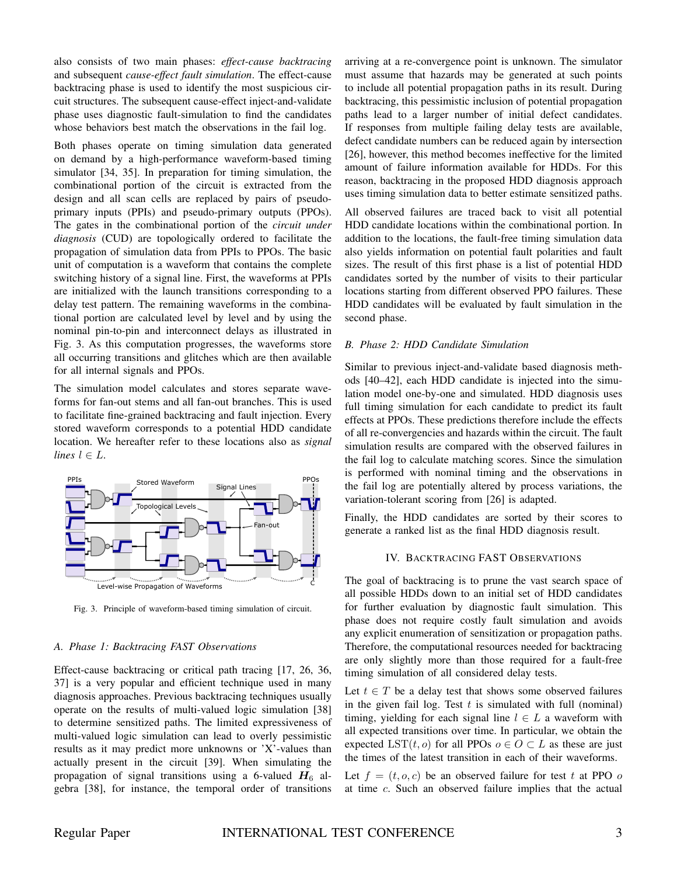also consists of two main phases: *effect-cause backtracing* and subsequent *cause-effect fault simulation*. The effect-cause backtracing phase is used to identify the most suspicious circuit structures. The subsequent cause-effect inject-and-validate phase uses diagnostic fault-simulation to find the candidates whose behaviors best match the observations in the fail log.

Both phases operate on timing simulation data generated on demand by a high-performance waveform-based timing simulator [34, 35]. In preparation for timing simulation, the combinational portion of the circuit is extracted from the design and all scan cells are replaced by pairs of pseudoprimary inputs (PPIs) and pseudo-primary outputs (PPOs). The gates in the combinational portion of the *circuit under diagnosis* (CUD) are topologically ordered to facilitate the propagation of simulation data from PPIs to PPOs. The basic unit of computation is a waveform that contains the complete switching history of a signal line. First, the waveforms at PPIs are initialized with the launch transitions corresponding to a delay test pattern. The remaining waveforms in the combinational portion are calculated level by level and by using the nominal pin-to-pin and interconnect delays as illustrated in Fig. 3. As this computation progresses, the waveforms store all occurring transitions and glitches which are then available for all internal signals and PPOs.

The simulation model calculates and stores separate waveforms for fan-out stems and all fan-out branches. This is used to facilitate fine-grained backtracing and fault injection. Every stored waveform corresponds to a potential HDD candidate location. We hereafter refer to these locations also as *signal lines*  $l \in L$ .



Fig. 3. Principle of waveform-based timing simulation of circuit.

#### *A. Phase 1: Backtracing FAST Observations*

Effect-cause backtracing or critical path tracing [17, 26, 36, 37] is a very popular and efficient technique used in many diagnosis approaches. Previous backtracing techniques usually operate on the results of multi-valued logic simulation [38] to determine sensitized paths. The limited expressiveness of multi-valued logic simulation can lead to overly pessimistic results as it may predict more unknowns or 'X'-values than actually present in the circuit [39]. When simulating the propagation of signal transitions using a 6-valued  $H_6$  algebra [38], for instance, the temporal order of transitions

arriving at a re-convergence point is unknown. The simulator must assume that hazards may be generated at such points to include all potential propagation paths in its result. During backtracing, this pessimistic inclusion of potential propagation paths lead to a larger number of initial defect candidates. If responses from multiple failing delay tests are available, defect candidate numbers can be reduced again by intersection [26], however, this method becomes ineffective for the limited amount of failure information available for HDDs. For this reason, backtracing in the proposed HDD diagnosis approach uses timing simulation data to better estimate sensitized paths.

All observed failures are traced back to visit all potential HDD candidate locations within the combinational portion. In addition to the locations, the fault-free timing simulation data also yields information on potential fault polarities and fault sizes. The result of this first phase is a list of potential HDD candidates sorted by the number of visits to their particular locations starting from different observed PPO failures. These HDD candidates will be evaluated by fault simulation in the second phase.

#### *B. Phase 2: HDD Candidate Simulation*

Similar to previous inject-and-validate based diagnosis methods [40–42], each HDD candidate is injected into the simulation model one-by-one and simulated. HDD diagnosis uses full timing simulation for each candidate to predict its fault effects at PPOs. These predictions therefore include the effects of all re-convergencies and hazards within the circuit. The fault simulation results are compared with the observed failures in the fail log to calculate matching scores. Since the simulation is performed with nominal timing and the observations in the fail log are potentially altered by process variations, the variation-tolerant scoring from [26] is adapted.

Finally, the HDD candidates are sorted by their scores to generate a ranked list as the final HDD diagnosis result.

#### IV. BACKTRACING FAST OBSERVATIONS

The goal of backtracing is to prune the vast search space of all possible HDDs down to an initial set of HDD candidates for further evaluation by diagnostic fault simulation. This phase does not require costly fault simulation and avoids any explicit enumeration of sensitization or propagation paths. Therefore, the computational resources needed for backtracing are only slightly more than those required for a fault-free timing simulation of all considered delay tests.

Let  $t \in T$  be a delay test that shows some observed failures in the given fail log. Test  $t$  is simulated with full (nominal) timing, yielding for each signal line  $l \in L$  a waveform with all expected transitions over time. In particular, we obtain the expected LST(t, o) for all PPOs  $o \in O \subset L$  as these are just the times of the latest transition in each of their waveforms.

Let  $f = (t, o, c)$  be an observed failure for test t at PPO o at time c. Such an observed failure implies that the actual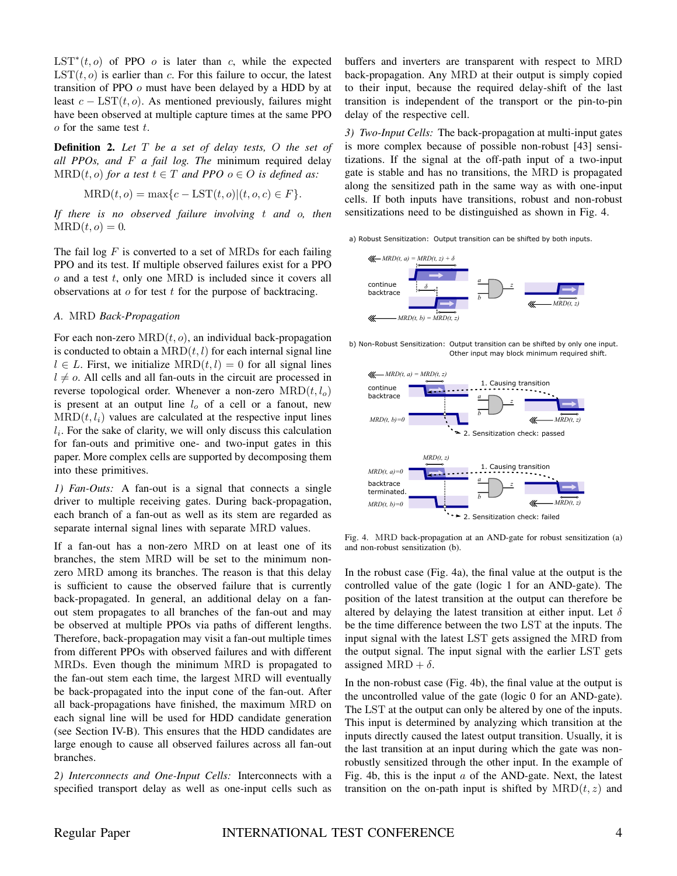$\text{LST}^*(t, o)$  of PPO *o* is later than *c*, while the expected  $LST(t, o)$  is earlier than c. For this failure to occur, the latest transition of PPO o must have been delayed by a HDD by at least  $c - \text{LST}(t, o)$ . As mentioned previously, failures might have been observed at multiple capture times at the same PPO  $o$  for the same test  $t$ .

Definition 2. *Let* T *be a set of delay tests,* O *the set of all PPOs, and* F *a fail log. The* minimum required delay  $MRD(t, o)$  *for a test*  $t \in T$  *and PPO*  $o \in O$  *is defined as:* 

$$
\text{MRD}(t, o) = \max\{c - \text{LST}(t, o) | (t, o, c) \in F\}.
$$

*If there is no observed failure involving* t *and* o*, then*  $MRD(t, o) = 0.$ 

The fail log  $F$  is converted to a set of MRDs for each failing PPO and its test. If multiple observed failures exist for a PPO  $o$  and a test  $t$ , only one MRD is included since it covers all observations at  $\sigma$  for test  $t$  for the purpose of backtracing.

# *A.* MRD *Back-Propagation*

For each non-zero  $MRD(t, o)$ , an individual back-propagation is conducted to obtain a  $MRD(t, l)$  for each internal signal line  $l \in L$ . First, we initialize  $MRD(t, l) = 0$  for all signal lines  $l \neq o$ . All cells and all fan-outs in the circuit are processed in reverse topological order. Whenever a non-zero  $MRD(t, l_0)$ is present at an output line  $l<sub>o</sub>$  of a cell or a fanout, new  $MRD(t, l_i)$  values are calculated at the respective input lines  $l_i$ . For the sake of clarity, we will only discuss this calculation for fan-outs and primitive one- and two-input gates in this paper. More complex cells are supported by decomposing them into these primitives.

*1) Fan-Outs:* A fan-out is a signal that connects a single driver to multiple receiving gates. During back-propagation, each branch of a fan-out as well as its stem are regarded as separate internal signal lines with separate MRD values.

If a fan-out has a non-zero MRD on at least one of its branches, the stem MRD will be set to the minimum nonzero MRD among its branches. The reason is that this delay is sufficient to cause the observed failure that is currently back-propagated. In general, an additional delay on a fanout stem propagates to all branches of the fan-out and may be observed at multiple PPOs via paths of different lengths. Therefore, back-propagation may visit a fan-out multiple times from different PPOs with observed failures and with different MRDs. Even though the minimum MRD is propagated to the fan-out stem each time, the largest MRD will eventually be back-propagated into the input cone of the fan-out. After all back-propagations have finished, the maximum MRD on each signal line will be used for HDD candidate generation (see Section IV-B). This ensures that the HDD candidates are large enough to cause all observed failures across all fan-out branches.

*2) Interconnects and One-Input Cells:* Interconnects with a specified transport delay as well as one-input cells such as buffers and inverters are transparent with respect to MRD back-propagation. Any MRD at their output is simply copied to their input, because the required delay-shift of the last transition is independent of the transport or the pin-to-pin delay of the respective cell.

*3) Two-Input Cells:* The back-propagation at multi-input gates is more complex because of possible non-robust [43] sensitizations. If the signal at the off-path input of a two-input gate is stable and has no transitions, the MRD is propagated along the sensitized path in the same way as with one-input cells. If both inputs have transitions, robust and non-robust sensitizations need to be distinguished as shown in Fig. 4.

a) Robust Sensitization: Output transition can be shifted by both inputs.



b) Non-Robust Sensitization: Output transition can be shifted by only one input. Other input may block minimum required shift.



Fig. 4. MRD back-propagation at an AND-gate for robust sensitization (a) and non-robust sensitization (b).

In the robust case (Fig. 4a), the final value at the output is the controlled value of the gate (logic 1 for an AND-gate). The position of the latest transition at the output can therefore be altered by delaying the latest transition at either input. Let  $\delta$ be the time difference between the two LST at the inputs. The input signal with the latest LST gets assigned the MRD from the output signal. The input signal with the earlier LST gets assigned MRD +  $\delta$ .

In the non-robust case (Fig. 4b), the final value at the output is the uncontrolled value of the gate (logic 0 for an AND-gate). The LST at the output can only be altered by one of the inputs. This input is determined by analyzing which transition at the inputs directly caused the latest output transition. Usually, it is the last transition at an input during which the gate was nonrobustly sensitized through the other input. In the example of Fig. 4b, this is the input  $\alpha$  of the AND-gate. Next, the latest transition on the on-path input is shifted by  $MRD(t, z)$  and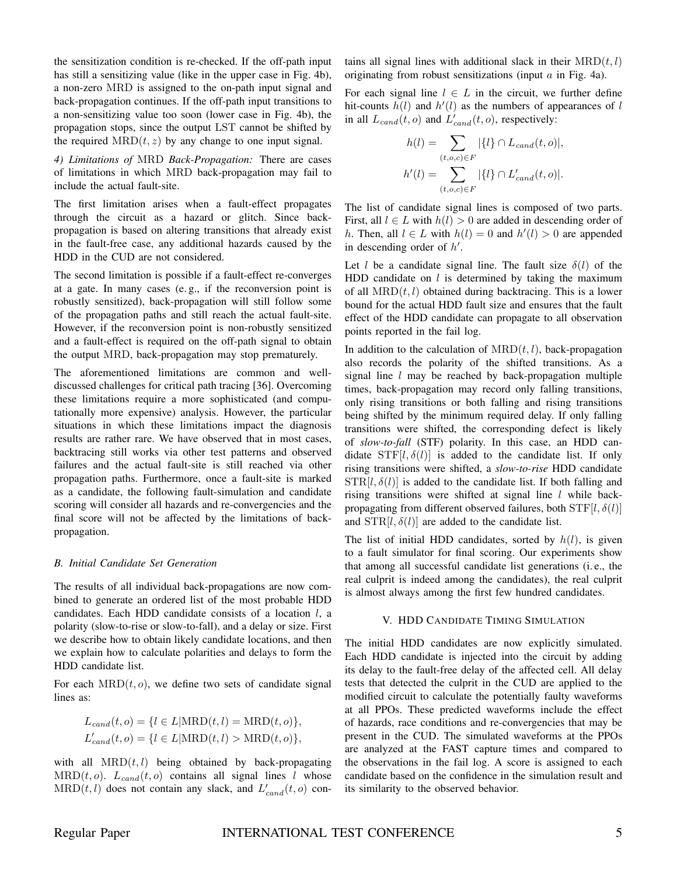the sensitization condition is re-checked. If the off-path input has still a sensitizing value (like in the upper case in Fig. 4b), a non-zero MRD is assigned to the on-path input signal and back-propagation continues. If the off-path input transitions to a non-sensitizing value too soon (lower case in Fig. 4b), the propagation stops, since the output LST cannot be shifted by the required  $MRD(t, z)$  by any change to one input signal.

*4) Limitations of* MRD *Back-Propagation:* There are cases of limitations in which MRD back-propagation may fail to include the actual fault-site.

The first limitation arises when a fault-effect propagates through the circuit as a hazard or glitch. Since backpropagation is based on altering transitions that already exist in the fault-free case, any additional hazards caused by the HDD in the CUD are not considered.

The second limitation is possible if a fault-effect re-converges at a gate. In many cases (e. g., if the reconversion point is robustly sensitized), back-propagation will still follow some of the propagation paths and still reach the actual fault-site. However, if the reconversion point is non-robustly sensitized and a fault-effect is required on the off-path signal to obtain the output MRD, back-propagation may stop prematurely.

The aforementioned limitations are common and welldiscussed challenges for critical path tracing [36]. Overcoming these limitations require a more sophisticated (and computationally more expensive) analysis. However, the particular situations in which these limitations impact the diagnosis results are rather rare. We have observed that in most cases, backtracing still works via other test patterns and observed failures and the actual fault-site is still reached via other propagation paths. Furthermore, once a fault-site is marked as a candidate, the following fault-simulation and candidate scoring will consider all hazards and re-convergencies and the final score will not be affected by the limitations of backpropagation.

#### *B. Initial Candidate Set Generation*

The results of all individual back-propagations are now combined to generate an ordered list of the most probable HDD candidates. Each HDD candidate consists of a location  $l$ , a polarity (slow-to-rise or slow-to-fall), and a delay or size. First we describe how to obtain likely candidate locations, and then we explain how to calculate polarities and delays to form the HDD candidate list.

For each  $MRD(t, o)$ , we define two sets of candidate signal lines as:

$$
L_{cand}(t, o) = \{l \in L | \text{MRD}(t, l) = \text{MRD}(t, o)\},
$$
  

$$
L'_{cand}(t, o) = \{l \in L | \text{MRD}(t, l) > \text{MRD}(t, o)\},
$$

with all  $MRD(t, l)$  being obtained by back-propagating  $MRD(t, o)$ .  $L_{cand}(t, o)$  contains all signal lines l whose  $MRD(t, l)$  does not contain any slack, and  $L'_{cand}(t, o)$  contains all signal lines with additional slack in their  $MRD(t, l)$ originating from robust sensitizations (input  $a$  in Fig. 4a).

For each signal line  $l \in L$  in the circuit, we further define hit-counts  $h(l)$  and  $h'(l)$  as the numbers of appearances of l in all  $L_{cand}(t, o)$  and  $L'_{cand}(t, o)$ , respectively:

$$
h(l) = \sum_{(t,o,c) \in F} |\{l\} \cap L_{cand}(t,o)|,
$$
  

$$
h'(l) = \sum_{(t,o,c) \in F} |\{l\} \cap L'_{cand}(t,o)|.
$$

The list of candidate signal lines is composed of two parts. First, all  $l \in L$  with  $h(l) > 0$  are added in descending order of h. Then, all  $l \in L$  with  $h(l) = 0$  and  $h'(l) > 0$  are appended in descending order of  $h'$ .

Let l be a candidate signal line. The fault size  $\delta(l)$  of the HDD candidate on  $l$  is determined by taking the maximum of all  $MRD(t, l)$  obtained during backtracing. This is a lower bound for the actual HDD fault size and ensures that the fault effect of the HDD candidate can propagate to all observation points reported in the fail log.

In addition to the calculation of  $MRD(t, l)$ , back-propagation also records the polarity of the shifted transitions. As a signal line  $l$  may be reached by back-propagation multiple times, back-propagation may record only falling transitions, only rising transitions or both falling and rising transitions being shifted by the minimum required delay. If only falling transitions were shifted, the corresponding defect is likely of *slow-to-fall* (STF) polarity. In this case, an HDD candidate  $STF[l, \delta(l)]$  is added to the candidate list. If only rising transitions were shifted, a *slow-to-rise* HDD candidate  $STR[l, \delta(l)]$  is added to the candidate list. If both falling and rising transitions were shifted at signal line  $l$  while backpropagating from different observed failures, both  $STF[l, \delta(l)]$ and  $STR[l, \delta(l)]$  are added to the candidate list.

The list of initial HDD candidates, sorted by  $h(l)$ , is given to a fault simulator for final scoring. Our experiments show that among all successful candidate list generations (i. e., the real culprit is indeed among the candidates), the real culprit is almost always among the first few hundred candidates.

# V. HDD CANDIDATE TIMING SIMULATION

The initial HDD candidates are now explicitly simulated. Each HDD candidate is injected into the circuit by adding its delay to the fault-free delay of the affected cell. All delay tests that detected the culprit in the CUD are applied to the modified circuit to calculate the potentially faulty waveforms at all PPOs. These predicted waveforms include the effect of hazards, race conditions and re-convergencies that may be present in the CUD. The simulated waveforms at the PPOs are analyzed at the FAST capture times and compared to the observations in the fail log. A score is assigned to each candidate based on the confidence in the simulation result and its similarity to the observed behavior.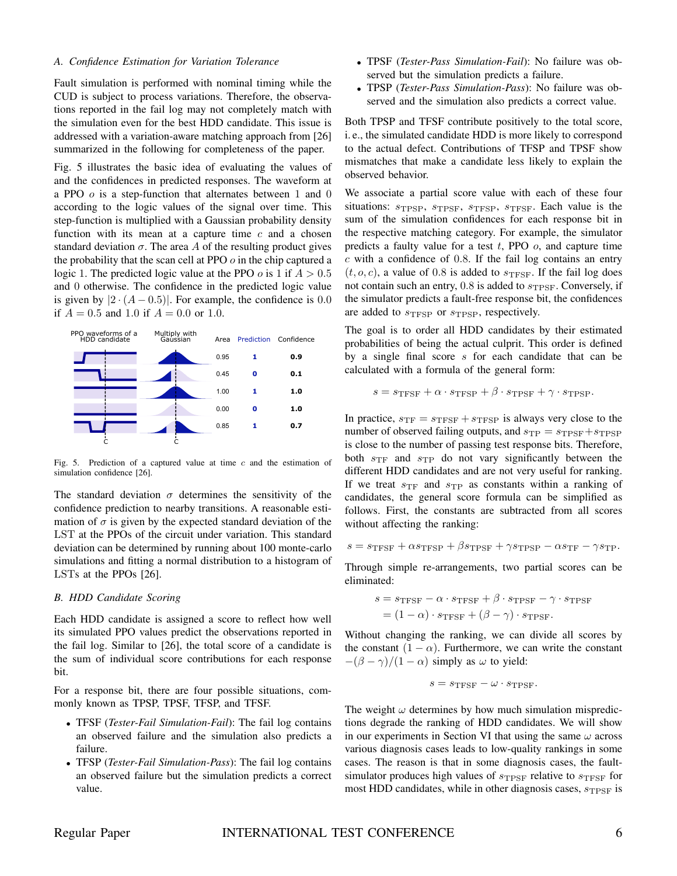#### *A. Confidence Estimation for Variation Tolerance*

Fault simulation is performed with nominal timing while the CUD is subject to process variations. Therefore, the observations reported in the fail log may not completely match with the simulation even for the best HDD candidate. This issue is addressed with a variation-aware matching approach from [26] summarized in the following for completeness of the paper.

Fig. 5 illustrates the basic idea of evaluating the values of and the confidences in predicted responses. The waveform at a PPO  $o$  is a step-function that alternates between 1 and 0 according to the logic values of the signal over time. This step-function is multiplied with a Gaussian probability density function with its mean at a capture time  $c$  and a chosen standard deviation  $\sigma$ . The area A of the resulting product gives the probability that the scan cell at PPO  $\sigma$  in the chip captured a logic 1. The predicted logic value at the PPO  $\sigma$  is 1 if  $A > 0.5$ and 0 otherwise. The confidence in the predicted logic value is given by  $|2 \cdot (A - 0.5)|$ . For example, the confidence is 0.0 if  $A = 0.5$  and 1.0 if  $A = 0.0$  or 1.0.



Fig. 5. Prediction of a captured value at time c and the estimation of simulation confidence [26].

The standard deviation  $\sigma$  determines the sensitivity of the confidence prediction to nearby transitions. A reasonable estimation of  $\sigma$  is given by the expected standard deviation of the LST at the PPOs of the circuit under variation. This standard deviation can be determined by running about 100 monte-carlo simulations and fitting a normal distribution to a histogram of LSTs at the PPOs [26].

#### *B. HDD Candidate Scoring*

Each HDD candidate is assigned a score to reflect how well its simulated PPO values predict the observations reported in the fail log. Similar to [26], the total score of a candidate is the sum of individual score contributions for each response bit.

For a response bit, there are four possible situations, commonly known as TPSP, TPSF, TFSP, and TFSF.

- TFSF (*Tester-Fail Simulation-Fail*): The fail log contains an observed failure and the simulation also predicts a failure.
- TFSP (*Tester-Fail Simulation-Pass*): The fail log contains an observed failure but the simulation predicts a correct value.
- TPSF (*Tester-Pass Simulation-Fail*): No failure was observed but the simulation predicts a failure.
- TPSP (*Tester-Pass Simulation-Pass*): No failure was observed and the simulation also predicts a correct value.

Both TPSP and TFSF contribute positively to the total score, i. e., the simulated candidate HDD is more likely to correspond to the actual defect. Contributions of TFSP and TPSF show mismatches that make a candidate less likely to explain the observed behavior.

We associate a partial score value with each of these four situations:  $s_{TPSP}$ ,  $s_{TPSF}$ ,  $s_{TPSP}$ ,  $s_{TPSP}$ . Each value is the sum of the simulation confidences for each response bit in the respective matching category. For example, the simulator predicts a faulty value for a test  $t$ , PPO  $o$ , and capture time  $c$  with a confidence of 0.8. If the fail log contains an entry  $(t, o, c)$ , a value of 0.8 is added to  $s_{\text{TFSF}}$ . If the fail log does not contain such an entry,  $0.8$  is added to  $s_{TPSF}$ . Conversely, if the simulator predicts a fault-free response bit, the confidences are added to  $s_{TFSP}$  or  $s_{TPSP}$ , respectively.

The goal is to order all HDD candidates by their estimated probabilities of being the actual culprit. This order is defined by a single final score  $s$  for each candidate that can be calculated with a formula of the general form:

$$
s = s_{\text{TFSF}} + \alpha \cdot s_{\text{TFSP}} + \beta \cdot s_{\text{TPSF}} + \gamma \cdot s_{\text{TPSP}}.
$$

In practice,  $s_{\text{TF}} = s_{\text{TFSF}} + s_{\text{TFSP}}$  is always very close to the number of observed failing outputs, and  $s_{\text{TP}} = s_{\text{TPSF}} + s_{\text{TPSP}}$ is close to the number of passing test response bits. Therefore, both  $s_{\text{TF}}$  and  $s_{\text{TP}}$  do not vary significantly between the different HDD candidates and are not very useful for ranking. If we treat  $s_{\text{TF}}$  and  $s_{\text{TP}}$  as constants within a ranking of candidates, the general score formula can be simplified as follows. First, the constants are subtracted from all scores without affecting the ranking:

$$
s = s_{\text{TFSF}} + \alpha s_{\text{TFSP}} + \beta s_{\text{TPSF}} + \gamma s_{\text{TPSP}} - \alpha s_{\text{TF}} - \gamma s_{\text{TP}}.
$$

Through simple re-arrangements, two partial scores can be eliminated:

$$
s = s_{\text{TFSF}} - \alpha \cdot s_{\text{TFSF}} + \beta \cdot s_{\text{TPSF}} - \gamma \cdot s_{\text{TPSF}}
$$

$$
= (1 - \alpha) \cdot s_{\text{TFSF}} + (\beta - \gamma) \cdot s_{\text{TPSF}}.
$$

Without changing the ranking, we can divide all scores by the constant  $(1 - \alpha)$ . Furthermore, we can write the constant  $-(\beta - \gamma)/(1 - \alpha)$  simply as  $\omega$  to yield:

$$
s = s_{\mathrm{TFSF}} - \omega \cdot s_{\mathrm{TPSF}}.
$$

The weight  $\omega$  determines by how much simulation mispredictions degrade the ranking of HDD candidates. We will show in our experiments in Section VI that using the same  $\omega$  across various diagnosis cases leads to low-quality rankings in some cases. The reason is that in some diagnosis cases, the faultsimulator produces high values of  $s_{\text{TPSF}}$  relative to  $s_{\text{TPSF}}$  for most HDD candidates, while in other diagnosis cases,  $s_{\text{TPSF}}$  is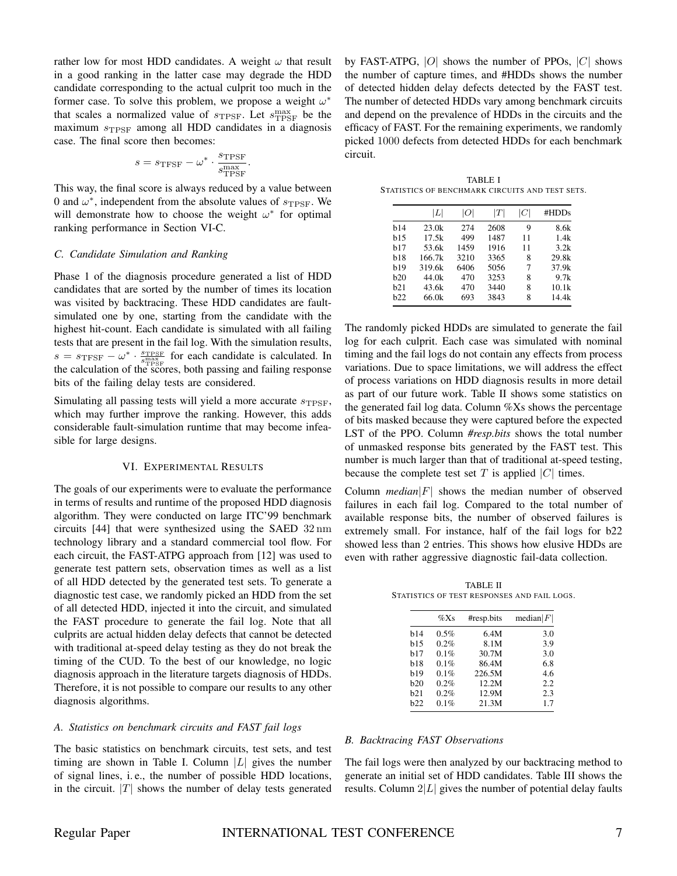rather low for most HDD candidates. A weight  $\omega$  that result in a good ranking in the latter case may degrade the HDD candidate corresponding to the actual culprit too much in the former case. To solve this problem, we propose a weight  $\omega^*$ that scales a normalized value of  $s_{\text{TPSF}}$ . Let  $s_{\text{TPSF}}^{\text{max}}$  be the maximum  $s_{TPSF}$  among all HDD candidates in a diagnosis case. The final score then becomes:

$$
s = s_{\text{TFSF}} - \omega^* \cdot \frac{s_{\text{TPSF}}}{s_{\text{TPSF}}^{\text{max}}}.
$$

This way, the final score is always reduced by a value between 0 and  $\omega^*$ , independent from the absolute values of  $s_{\text{TPSF}}$ . We will demonstrate how to choose the weight  $\omega^*$  for optimal ranking performance in Section VI-C.

#### *C. Candidate Simulation and Ranking*

Phase 1 of the diagnosis procedure generated a list of HDD candidates that are sorted by the number of times its location was visited by backtracing. These HDD candidates are faultsimulated one by one, starting from the candidate with the highest hit-count. Each candidate is simulated with all failing tests that are present in the fail log. With the simulation results,  $s = s_{\text{TFSF}} - \omega^* \cdot \frac{s_{\text{TPSF}}}{s_{\text{TPSF}}^{\text{max}}}$  for each candidate is calculated. In the calculation of the scores, both passing and failing response bits of the failing delay tests are considered.

Simulating all passing tests will yield a more accurate  $s_{TPSF}$ , which may further improve the ranking. However, this adds considerable fault-simulation runtime that may become infeasible for large designs.

#### VI. EXPERIMENTAL RESULTS

The goals of our experiments were to evaluate the performance in terms of results and runtime of the proposed HDD diagnosis algorithm. They were conducted on large ITC'99 benchmark circuits [44] that were synthesized using the SAED 32 nm technology library and a standard commercial tool flow. For each circuit, the FAST-ATPG approach from [12] was used to generate test pattern sets, observation times as well as a list of all HDD detected by the generated test sets. To generate a diagnostic test case, we randomly picked an HDD from the set of all detected HDD, injected it into the circuit, and simulated the FAST procedure to generate the fail log. Note that all culprits are actual hidden delay defects that cannot be detected with traditional at-speed delay testing as they do not break the timing of the CUD. To the best of our knowledge, no logic diagnosis approach in the literature targets diagnosis of HDDs. Therefore, it is not possible to compare our results to any other diagnosis algorithms.

#### *A. Statistics on benchmark circuits and FAST fail logs*

The basic statistics on benchmark circuits, test sets, and test timing are shown in Table I. Column  $|L|$  gives the number of signal lines, i. e., the number of possible HDD locations, in the circuit.  $|T|$  shows the number of delay tests generated

by FAST-ATPG,  $|O|$  shows the number of PPOs,  $|C|$  shows the number of capture times, and #HDDs shows the number of detected hidden delay defects detected by the FAST test. The number of detected HDDs vary among benchmark circuits and depend on the prevalence of HDDs in the circuits and the efficacy of FAST. For the remaining experiments, we randomly picked 1000 defects from detected HDDs for each benchmark circuit.

TABLE I STATISTICS OF BENCHMARK CIRCUITS AND TEST SETS.

|             | L      | O    | ľТ   | C  | #HDDs |
|-------------|--------|------|------|----|-------|
| <b>b</b> 14 | 23.0k  | 274  | 2608 | 9  | 8.6k  |
| b15         | 17.5k  | 499  | 1487 | 11 | 1.4k  |
| <b>b</b> 17 | 53.6k  | 1459 | 1916 | 11 | 3.2k  |
| <b>b</b> 18 | 166.7k | 3210 | 3365 | 8  | 29.8k |
| b19         | 319.6k | 6406 | 5056 | 7  | 37.9k |
| h20         | 44.0k  | 470  | 3253 | 8  | 9.7k  |
| <b>b21</b>  | 43.6k  | 470  | 3440 | 8  | 10.1k |
| h22         | 66.0k  | 693  | 3843 | 8  | 14.4k |
|             |        |      |      |    |       |

The randomly picked HDDs are simulated to generate the fail log for each culprit. Each case was simulated with nominal timing and the fail logs do not contain any effects from process variations. Due to space limitations, we will address the effect of process variations on HDD diagnosis results in more detail as part of our future work. Table II shows some statistics on the generated fail log data. Column %Xs shows the percentage of bits masked because they were captured before the expected LST of the PPO. Column *#resp.bits* shows the total number of unmasked response bits generated by the FAST test. This number is much larger than that of traditional at-speed testing, because the complete test set  $T$  is applied  $|C|$  times.

Column  $median|F|$  shows the median number of observed failures in each fail log. Compared to the total number of available response bits, the number of observed failures is extremely small. For instance, half of the fail logs for b22 showed less than 2 entries. This shows how elusive HDDs are even with rather aggressive diagnostic fail-data collection.

TABLE II STATISTICS OF TEST RESPONSES AND FAIL LOGS.

|             | $\%Xs$ | #resp.bits | $\text{median} F $ |
|-------------|--------|------------|--------------------|
| <b>b</b> 14 | 0.5%   | 6.4M       | 3.0                |
| h15         | 0.2%   | 8.1M       | 3.9                |
| h17         | 0.1%   | 30.7M      | 3.0                |
| h18         | 0.1%   | 86.4M      | 6.8                |
| <b>b</b> 19 | 0.1%   | 226.5M     | 4.6                |
| h20         | 0.2%   | 12.2M      | 2.2                |
| b21         | 0.2%   | 12.9M      | 2.3                |
| <b>b22</b>  | 0.1%   | 21.3M      | 1.7                |
|             |        |            |                    |

#### *B. Backtracing FAST Observations*

The fail logs were then analyzed by our backtracing method to generate an initial set of HDD candidates. Table III shows the results. Column  $2|L|$  gives the number of potential delay faults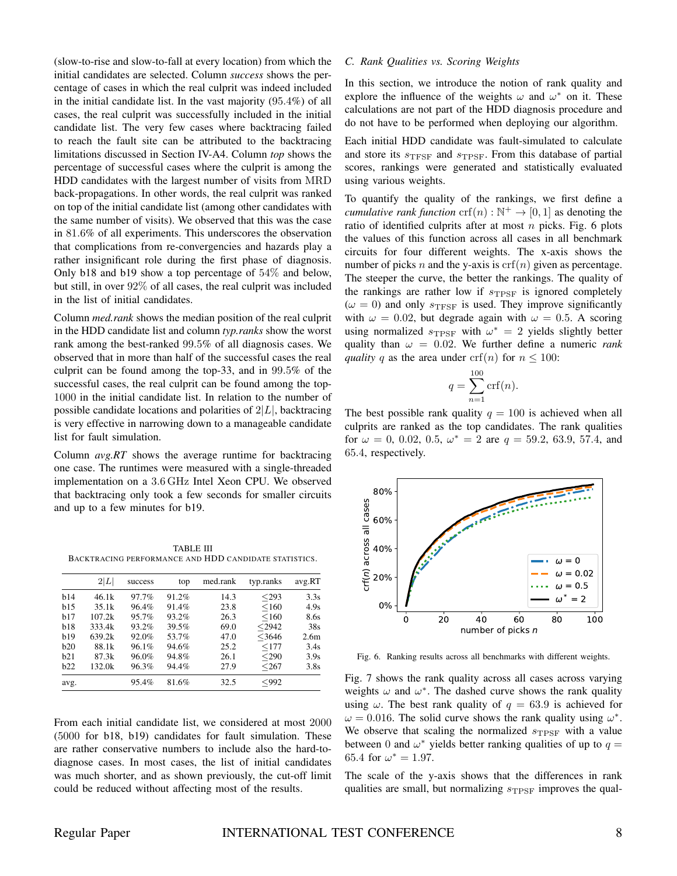(slow-to-rise and slow-to-fall at every location) from which the initial candidates are selected. Column *success* shows the percentage of cases in which the real culprit was indeed included in the initial candidate list. In the vast majority (95.4%) of all cases, the real culprit was successfully included in the initial candidate list. The very few cases where backtracing failed to reach the fault site can be attributed to the backtracing limitations discussed in Section IV-A4. Column *top* shows the percentage of successful cases where the culprit is among the HDD candidates with the largest number of visits from MRD back-propagations. In other words, the real culprit was ranked on top of the initial candidate list (among other candidates with the same number of visits). We observed that this was the case in 81.6% of all experiments. This underscores the observation that complications from re-convergencies and hazards play a rather insignificant role during the first phase of diagnosis. Only b18 and b19 show a top percentage of 54% and below, but still, in over 92% of all cases, the real culprit was included in the list of initial candidates.

Column *med.rank* shows the median position of the real culprit in the HDD candidate list and column *typ.ranks* show the worst rank among the best-ranked 99.5% of all diagnosis cases. We observed that in more than half of the successful cases the real culprit can be found among the top-33, and in 99.5% of the successful cases, the real culprit can be found among the top-1000 in the initial candidate list. In relation to the number of possible candidate locations and polarities of  $2|L|$ , backtracing is very effective in narrowing down to a manageable candidate list for fault simulation.

Column *avg.RT* shows the average runtime for backtracing one case. The runtimes were measured with a single-threaded implementation on a 3.6 GHz Intel Xeon CPU. We observed that backtracing only took a few seconds for smaller circuits and up to a few minutes for b19.

TABLE III BACKTRACING PERFORMANCE AND HDD CANDIDATE STATISTICS.

| 2 L <br>med.rank<br>avg.RT<br>typ.ranks<br>top<br>success<br>b14<br>91.2%<br>46.1k<br>$293$<br>97.7%<br>14.3<br>< 160<br>b15<br>96.4%<br>91.4%<br>23.8<br>35.1k<br>4.9s<br>95.7%<br>93.2%<br>107.2k<br>< 160<br>26.3<br>h17<br>8.6s<br>b18<br>93.2%<br>39.5%<br>69.0<br>$<$ 2942<br>333.4k<br>38s<br>b19<br>92.0%<br>53.7%<br>$<$ 3646<br>639.2k<br>47.0<br>94.6%<br>h20<br>96.1%<br>< 177<br>25.2<br>88.1k<br>3.4s<br>96.0%<br>94.8%<br>$290$<br>h21<br>87.3k<br>26.1<br>3.9s<br>96.3%<br>94.4%<br>27.9<br>$267$<br>132.0k<br>h22<br>3.8s<br>95.4%<br>81.6%<br>$992$<br>32.5<br>avg. |  |  |  |                  |
|---------------------------------------------------------------------------------------------------------------------------------------------------------------------------------------------------------------------------------------------------------------------------------------------------------------------------------------------------------------------------------------------------------------------------------------------------------------------------------------------------------------------------------------------------------------------------------------|--|--|--|------------------|
|                                                                                                                                                                                                                                                                                                                                                                                                                                                                                                                                                                                       |  |  |  |                  |
|                                                                                                                                                                                                                                                                                                                                                                                                                                                                                                                                                                                       |  |  |  | 3.3s             |
|                                                                                                                                                                                                                                                                                                                                                                                                                                                                                                                                                                                       |  |  |  |                  |
|                                                                                                                                                                                                                                                                                                                                                                                                                                                                                                                                                                                       |  |  |  |                  |
|                                                                                                                                                                                                                                                                                                                                                                                                                                                                                                                                                                                       |  |  |  |                  |
|                                                                                                                                                                                                                                                                                                                                                                                                                                                                                                                                                                                       |  |  |  | 2.6 <sub>m</sub> |
|                                                                                                                                                                                                                                                                                                                                                                                                                                                                                                                                                                                       |  |  |  |                  |
|                                                                                                                                                                                                                                                                                                                                                                                                                                                                                                                                                                                       |  |  |  |                  |
|                                                                                                                                                                                                                                                                                                                                                                                                                                                                                                                                                                                       |  |  |  |                  |
|                                                                                                                                                                                                                                                                                                                                                                                                                                                                                                                                                                                       |  |  |  |                  |

From each initial candidate list, we considered at most 2000 (5000 for b18, b19) candidates for fault simulation. These are rather conservative numbers to include also the hard-todiagnose cases. In most cases, the list of initial candidates was much shorter, and as shown previously, the cut-off limit could be reduced without affecting most of the results.

# *C. Rank Qualities vs. Scoring Weights*

In this section, we introduce the notion of rank quality and explore the influence of the weights  $\omega$  and  $\omega^*$  on it. These calculations are not part of the HDD diagnosis procedure and do not have to be performed when deploying our algorithm.

Each initial HDD candidate was fault-simulated to calculate and store its  $s_{TFSF}$  and  $s_{TPSF}$ . From this database of partial scores, rankings were generated and statistically evaluated using various weights.

To quantify the quality of the rankings, we first define a *cumulative rank function*  $\mathrm{crf}(n) : \mathbb{N}^+ \to [0,1]$  as denoting the ratio of identified culprits after at most  $n$  picks. Fig. 6 plots the values of this function across all cases in all benchmark circuits for four different weights. The x-axis shows the number of picks n and the y-axis is  $\text{crf}(n)$  given as percentage. The steeper the curve, the better the rankings. The quality of the rankings are rather low if  $s_{TPSF}$  is ignored completely  $(\omega = 0)$  and only  $s_{TFSF}$  is used. They improve significantly with  $\omega = 0.02$ , but degrade again with  $\omega = 0.5$ . A scoring using normalized  $s_{\text{TPSF}}$  with  $\omega^* = 2$  yields slightly better quality than  $\omega = 0.02$ . We further define a numeric *rank quality* q as the area under crf(n) for  $n \le 100$ :

$$
q = \sum_{n=1}^{100} \operatorname{crf}(n).
$$

The best possible rank quality  $q = 100$  is achieved when all culprits are ranked as the top candidates. The rank qualities for  $\omega = 0$ , 0.02, 0.5,  $\omega^* = 2$  are  $q = 59.2$ , 63.9, 57.4, and 65.4, respectively.



Fig. 6. Ranking results across all benchmarks with different weights.

Fig. 7 shows the rank quality across all cases across varying weights  $\omega$  and  $\omega^*$ . The dashed curve shows the rank quality using  $\omega$ . The best rank quality of  $q = 63.9$  is achieved for  $\omega = 0.016$ . The solid curve shows the rank quality using  $\omega^*$ . We observe that scaling the normalized  $s_{\text{TPSF}}$  with a value between 0 and  $\omega^*$  yields better ranking qualities of up to  $q =$ 65.4 for  $\omega^* = 1.97$ .

The scale of the y-axis shows that the differences in rank qualities are small, but normalizing  $s_{\text{TPSF}}$  improves the qual-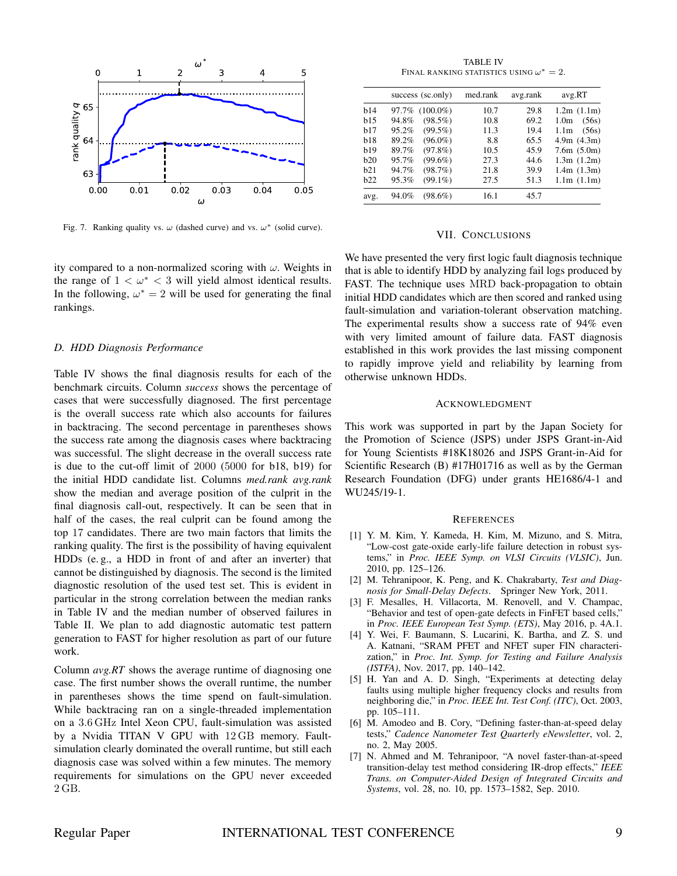

Fig. 7. Ranking quality vs.  $\omega$  (dashed curve) and vs.  $\omega^*$  (solid curve).

ity compared to a non-normalized scoring with  $\omega$ . Weights in the range of  $1 < \omega^* < 3$  will yield almost identical results. In the following,  $\omega^* = 2$  will be used for generating the final rankings.

# *D. HDD Diagnosis Performance*

Table IV shows the final diagnosis results for each of the benchmark circuits. Column *success* shows the percentage of cases that were successfully diagnosed. The first percentage is the overall success rate which also accounts for failures in backtracing. The second percentage in parentheses shows the success rate among the diagnosis cases where backtracing was successful. The slight decrease in the overall success rate is due to the cut-off limit of 2000 (5000 for b18, b19) for the initial HDD candidate list. Columns *med.rank avg.rank* show the median and average position of the culprit in the final diagnosis call-out, respectively. It can be seen that in half of the cases, the real culprit can be found among the top 17 candidates. There are two main factors that limits the ranking quality. The first is the possibility of having equivalent HDDs (e. g., a HDD in front of and after an inverter) that cannot be distinguished by diagnosis. The second is the limited diagnostic resolution of the used test set. This is evident in particular in the strong correlation between the median ranks in Table IV and the median number of observed failures in Table II. We plan to add diagnostic automatic test pattern generation to FAST for higher resolution as part of our future work.

Column *avg.RT* shows the average runtime of diagnosing one case. The first number shows the overall runtime, the number in parentheses shows the time spend on fault-simulation. While backtracing ran on a single-threaded implementation on a 3.6 GHz Intel Xeon CPU, fault-simulation was assisted by a Nvidia TITAN V GPU with 12 GB memory. Faultsimulation clearly dominated the overall runtime, but still each diagnosis case was solved within a few minutes. The memory requirements for simulations on the GPU never exceeded 2 GB.

TABLE IV FINAL RANKING STATISTICS USING  $\omega^*=2$ .

|      | success (sc.only)    | med.rank | avg.rank | avg.RT                    |
|------|----------------------|----------|----------|---------------------------|
| h14  | $(100.0\%)$<br>97.7% | 10.7     | 29.8     | 1.2m(1.1m)                |
| h15  | $(98.5\%)$<br>94.8%  | 10.8     | 69.2     | 1.0 <sub>m</sub><br>(56s) |
| h17  | $(99.5\%)$<br>95.2%  | 11.3     | 19.4     | (56s)<br>1.1m             |
| b18  | $(96.0\%)$<br>89.2%  | 8.8      | 65.5     | 4.9m(4.3m)                |
| h19  | $(97.8\%)$<br>89.7%  | 10.5     | 45.9     | 7.6m(5.0m)                |
| h20  | $(99.6\%)$<br>95.7%  | 27.3     | 44.6     | 1.3m(1.2m)                |
| h21  | (98.7%)<br>94.7%     | 21.8     | 39.9     | 1.4m(1.3m)                |
| h22  | $(99.1\%)$<br>95.3%  | 27.5     | 51.3     | 1.1m(1.1m)                |
| avg. | $(98.6\%)$<br>94.0%  | 16.1     | 45.7     |                           |

#### VII. CONCLUSIONS

We have presented the very first logic fault diagnosis technique that is able to identify HDD by analyzing fail logs produced by FAST. The technique uses MRD back-propagation to obtain initial HDD candidates which are then scored and ranked using fault-simulation and variation-tolerant observation matching. The experimental results show a success rate of 94% even with very limited amount of failure data. FAST diagnosis established in this work provides the last missing component to rapidly improve yield and reliability by learning from otherwise unknown HDDs.

#### ACKNOWLEDGMENT

This work was supported in part by the Japan Society for the Promotion of Science (JSPS) under JSPS Grant-in-Aid for Young Scientists #18K18026 and JSPS Grant-in-Aid for Scientific Research (B) #17H01716 as well as by the German Research Foundation (DFG) under grants HE1686/4-1 and WU245/19-1.

#### **REFERENCES**

- [1] Y. M. Kim, Y. Kameda, H. Kim, M. Mizuno, and S. Mitra, "Low-cost gate-oxide early-life failure detection in robust systems," in *Proc. IEEE Symp. on VLSI Circuits (VLSIC)*, Jun. 2010, pp. 125–126.
- [2] M. Tehranipoor, K. Peng, and K. Chakrabarty, *Test and Diagnosis for Small-Delay Defects*. Springer New York, 2011.
- [3] F. Mesalles, H. Villacorta, M. Renovell, and V. Champac, "Behavior and test of open-gate defects in FinFET based cells," in *Proc. IEEE European Test Symp. (ETS)*, May 2016, p. 4A.1.
- [4] Y. Wei, F. Baumann, S. Lucarini, K. Bartha, and Z. S. und A. Katnani, "SRAM PFET and NFET super FIN characterization," in *Proc. Int. Symp. for Testing and Failure Analysis (ISTFA)*, Nov. 2017, pp. 140–142.
- [5] H. Yan and A. D. Singh, "Experiments at detecting delay faults using multiple higher frequency clocks and results from neighboring die," in *Proc. IEEE Int. Test Conf. (ITC)*, Oct. 2003, pp. 105–111.
- [6] M. Amodeo and B. Cory, "Defining faster-than-at-speed delay tests," *Cadence Nanometer Test Quarterly eNewsletter*, vol. 2, no. 2, May 2005.
- [7] N. Ahmed and M. Tehranipoor, "A novel faster-than-at-speed transition-delay test method considering IR-drop effects," *IEEE Trans. on Computer-Aided Design of Integrated Circuits and Systems*, vol. 28, no. 10, pp. 1573–1582, Sep. 2010.